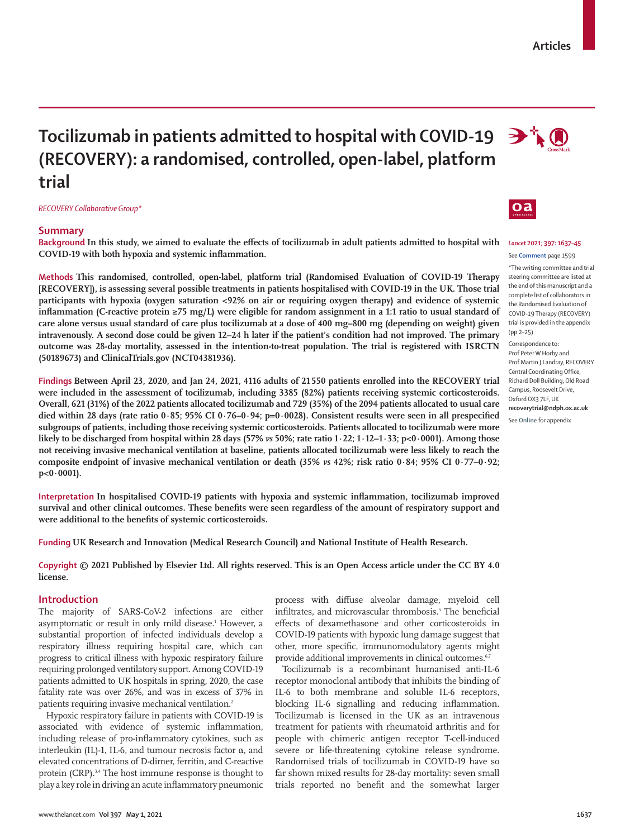# **Tocilizumab in patients admitted to hospital with COVID-19 (RECOVERY): a randomised, controlled, open-label, platform trial**

*RECOVERY Collaborative Group\**

# **Summary**

**Background In this study, we aimed to evaluate the effects of tocilizumab in adult patients admitted to hospital with COVID-19 with both hypoxia and systemic inflammation.**

**Methods This randomised, controlled, open-label, platform trial (Randomised Evaluation of COVID-19 Therapy [RECOVERY]), is assessing several possible treatments in patients hospitalised with COVID-19 in the UK. Those trial participants with hypoxia (oxygen saturation <92% on air or requiring oxygen therapy) and evidence of systemic inflammation (C-reactive protein ≥75 mg/L) were eligible for random assignment in a 1:1 ratio to usual standard of care alone versus usual standard of care plus tocilizumab at a dose of 400 mg–800 mg (depending on weight) given intravenously. A second dose could be given 12–24 h later if the patient's condition had not improved. The primary outcome was 28-day mortality, assessed in the intention-to-treat population. The trial is registered with ISRCTN (50189673) and ClinicalTrials.gov (NCT04381936).**

**Findings Between April 23, 2020, and Jan 24, 2021, 4116 adults of 21550 patients enrolled into the RECOVERY trial were included in the assessment of tocilizumab, including 3385 (82%) patients receiving systemic corticosteroids. Overall, 621 (31%) of the 2022 patients allocated tocilizumab and 729 (35%) of the 2094 patients allocated to usual care died within 28 days (rate ratio 0·85; 95% CI 0·76–0·94; p=0·0028). Consistent results were seen in all prespecified subgroups of patients, including those receiving systemic corticosteroids. Patients allocated to tocilizumab were more likely to be discharged from hospital within 28 days (57%** *vs* **50%; rate ratio 1·22; 1·12–1·33; p<0·0001). Among those not receiving invasive mechanical ventilation at baseline, patients allocated tocilizumab were less likely to reach the composite endpoint of invasive mechanical ventilation or death (35%** *vs* **42%; risk ratio 0·84; 95% CI 0·77–0·92; p<0·0001).**

**Interpretation In hospitalised COVID-19 patients with hypoxia and systemic inflammation, tocilizumab improved survival and other clinical outcomes. These benefits were seen regardless of the amount of respiratory support and were additional to the benefits of systemic corticosteroids.**

**Funding UK Research and Innovation (Medical Research Council) and National Institute of Health Research.**

**Copyright © 2021 Published by Elsevier Ltd. All rights reserved. This is an Open Access article under the CC BY 4.0 license.**

# **Introduction**

The majority of SARS-CoV-2 infections are either asymptomatic or result in only mild disease.<sup>1</sup> However, a substantial proportion of infected individuals develop a respiratory illness requiring hospital care, which can progress to critical illness with hypoxic respiratory failure requiring prolonged ventilatory support. Among COVID-19 patients admitted to UK hospitals in spring, 2020, the case fatality rate was over 26%, and was in excess of 37% in patients requiring invasive mechanical ventilation.<sup>2</sup>

Hypoxic respiratory failure in patients with COVID-19 is associated with evidence of systemic inflammation, including release of pro-inflammatory cytokines, such as interleukin (IL)-1, IL-6, and tumour necrosis factor α, and elevated concentrations of D-dimer, ferritin, and C-reactive protein (CRP).<sup>3,4</sup> The host immune response is thought to play a key role in driving an acute inflammatory pneumonic process with diffuse alveolar damage, myeloid cell infiltrates, and microvascular thrombosis.<sup>5</sup> The beneficial effects of dexamethasone and other corticosteroids in COVID-19 patients with hypoxic lung damage suggest that other, more specific, immunomodulatory agents might provide additional improvements in clinical outcomes.<sup>6,7</sup>

Tocilizumab is a recombinant humanised anti-IL-6 receptor monoclonal antibody that inhibits the binding of IL-6 to both membrane and soluble IL-6 receptors, blocking IL-6 signalling and reducing inflammation. Tocilizumab is licensed in the UK as an intravenous treatment for patients with rheumatoid arthritis and for people with chimeric antigen receptor T-cell-induced severe or life-threatening cytokine release syndrome. Randomised trials of tocilizumab in COVID-19 have so far shown mixed results for 28-day mortality: seven small trials reported no benefit and the somewhat larger



# *Lancet* **2021; 397: 1637–45**

 $\Rightarrow$   $\uparrow$   $\circ$ 

#### See **Comment** page 1599

\*The writing committee and trial steering committee are listed at the end of this manuscript and a complete list of collaborators in the Randomised Evaluation of COVID-19 Therapy (RECOVERY) trial is provided in the appendix (pp 2–25)

Correspondence to: Prof Peter W Horby and

Prof Martin J Landray, RECOVERY Central Coordinating Office, Richard Doll Building, Old Road Campus, Roosevelt Drive, Oxford OX3 7LF LIK **recoverytrial@ndph.ox.ac.uk**

See **Online** for appendix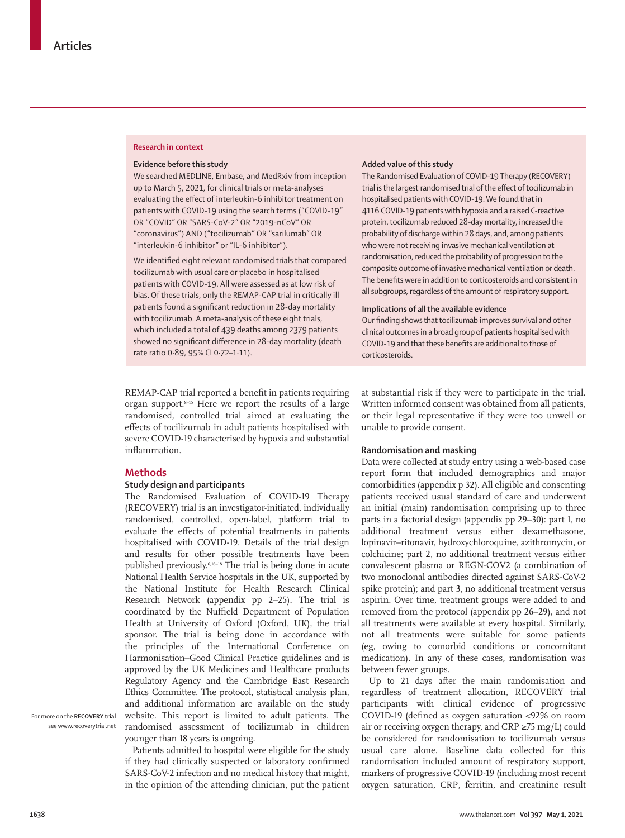## **Research in context**

## **Evidence before this study**

We searched MEDLINE, Embase, and MedRxiv from inception up to March 5, 2021, for clinical trials or meta-analyses evaluating the effect of interleukin-6 inhibitor treatment on patients with COVID-19 using the search terms ("COVID-19" OR "COVID" OR "SARS-CoV-2" OR "2019-nCoV" OR "coronavirus") AND ("tocilizumab" OR "sarilumab" OR "interleukin-6 inhibitor" or "IL-6 inhibitor").

We identified eight relevant randomised trials that compared tocilizumab with usual care or placebo in hospitalised patients with COVID-19. All were assessed as at low risk of bias. Of these trials, only the REMAP-CAP trial in critically ill patients found a significant reduction in 28-day mortality with tocilizumab. A meta-analysis of these eight trials, which included a total of 439 deaths among 2379 patients showed no significant difference in 28-day mortality (death rate ratio 0·89, 95% CI 0·72–1·11).

REMAP-CAP trial reported a benefit in patients requiring organ support.8–15 Here we report the results of a large randomised, controlled trial aimed at evaluating the effects of tocilizumab in adult patients hospitalised with severe COVID-19 characterised by hypoxia and substantial inflammation.

# **Methods**

## **Study design and participants**

The Randomised Evaluation of COVID-19 Therapy (RECOVERY) trial is an investigator-initiated, individually randomised, controlled, open-label, platform trial to evaluate the effects of potential treatments in patients hospitalised with COVID-19. Details of the trial design and results for other possible treatments have been published previously.6,16–18 The trial is being done in acute National Health Service hospitals in the UK, supported by the National Institute for Health Research Clinical Research Network (appendix pp 2–25). The trial is coordinated by the Nuffield Department of Population Health at University of Oxford (Oxford, UK), the trial sponsor. The trial is being done in accordance with the principles of the International Conference on Harmonisation–Good Clinical Practice guidelines and is approved by the UK Medicines and Healthcare products Regulatory Agency and the Cambridge East Research Ethics Committee. The protocol, statistical analysis plan, and additional information are available on the study [website.](http://www.recoverytrial.net) This report is limited to adult patients. The randomised assessment of tocilizumab in children younger than 18 years is ongoing.

Patients admitted to hospital were eligible for the study if they had clinically suspected or laboratory confirmed SARS-CoV-2 infection and no medical history that might, in the opinion of the attending clinician, put the patient

## **Added value of this study**

The Randomised Evaluation of COVID-19 Therapy (RECOVERY) trial is the largest randomised trial of the effect of tocilizumab in hospitalised patients with COVID-19. We found that in 4116 COVID-19 patients with hypoxia and a raised C-reactive protein, tocilizumab reduced 28-day mortality, increased the probability of discharge within 28 days, and, among patients who were not receiving invasive mechanical ventilation at randomisation, reduced the probability of progression to the composite outcome of invasive mechanical ventilation or death. The benefits were in addition to corticosteroids and consistent in all subgroups, regardless of the amount of respiratory support.

## **Implications of all the available evidence**

Our finding shows that tocilizumab improves survival and other clinical outcomes in a broad group of patients hospitalised with COVID-19 and that these benefits are additional to those of corticosteroids.

at substantial risk if they were to participate in the trial. Written informed consent was obtained from all patients, or their legal representative if they were too unwell or unable to provide consent.

## **Randomisation and masking**

Data were collected at study entry using a web-based case report form that included demographics and major comorbidities (appendix p 32). All eligible and consenting patients received usual standard of care and underwent an initial (main) randomisation comprising up to three parts in a factorial design (appendix pp 29–30): part 1, no additional treatment versus either dexamethasone, lopinavir–ritonavir, hydroxychloroquine, azithromycin, or colchicine; part 2, no additional treatment versus either convalescent plasma or REGN-COV2 (a combination of two monoclonal antibodies directed against SARS-CoV-2 spike protein); and part 3, no additional treatment versus aspirin. Over time, treatment groups were added to and removed from the protocol (appendix pp 26–29), and not all treatments were available at every hospital. Similarly, not all treatments were suitable for some patients (eg, owing to comorbid conditions or concomitant medication). In any of these cases, randomisation was between fewer groups.

Up to 21 days after the main randomisation and regardless of treatment allocation, RECOVERY trial participants with clinical evidence of progressive COVID-19 (defined as oxygen saturation <92% on room air or receiving oxygen therapy, and CRP  $\geq$ 75 mg/L) could be considered for randomisation to tocilizumab versus usual care alone. Baseline data collected for this randomisation included amount of respiratory support, markers of progressive COVID-19 (including most recent oxygen saturation, CRP, ferritin, and creatinine result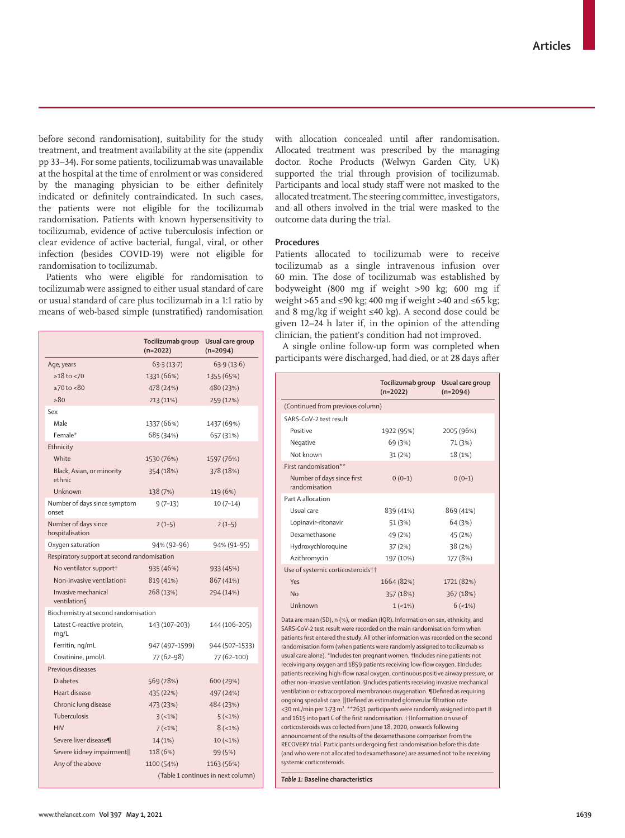before second randomisation), suitability for the study treatment, and treatment availability at the site (appendix pp 33–34). For some patients, tocilizumab was unavailable at the hospital at the time of enrolment or was considered by the managing physician to be either definitely indicated or definitely contraindicated. In such cases, the patients were not eligible for the tocilizumab randomisation. Patients with known hypersensitivity to tocilizumab, evidence of active tuberculosis infection or clear evidence of active bacterial, fungal, viral, or other infection (besides COVID-19) were not eligible for randomisation to tocilizumab.

Patients who were eligible for randomisation to tocilizumab were assigned to either usual standard of care or usual standard of care plus tocilizumab in a 1:1 ratio by means of web-based simple (unstratified) randomisation

|                                             | Tocilizumab group<br>$(n=2022)$    | Usual care group<br>$(n=2094)$ |  |  |  |
|---------------------------------------------|------------------------------------|--------------------------------|--|--|--|
| Age, years                                  | 63.3(13.7)                         | 63.9(13.6)                     |  |  |  |
| $\geq$ 18 to <70                            | 1331 (66%)                         | 1355 (65%)                     |  |  |  |
| $\geq 70$ to $\lt 80$                       | 478 (24%)                          | 480 (23%)                      |  |  |  |
| >80                                         | 213 (11%)                          | 259 (12%)                      |  |  |  |
| Sex                                         |                                    |                                |  |  |  |
| Male                                        | 1337 (66%)                         | 1437 (69%)                     |  |  |  |
| Female*                                     | 685 (34%)                          | 657 (31%)                      |  |  |  |
| Ethnicity                                   |                                    |                                |  |  |  |
| White                                       | 1530 (76%)                         | 1597 (76%)                     |  |  |  |
| Black, Asian, or minority<br>ethnic         | 354 (18%)                          | 378 (18%)                      |  |  |  |
| Unknown                                     | 138 (7%)                           | 119 (6%)                       |  |  |  |
| Number of days since symptom<br>onset       | $9(7-13)$                          | $10(7-14)$                     |  |  |  |
| Number of days since<br>hospitalisation     | $2(1-5)$                           | $2(1-5)$                       |  |  |  |
| Oxygen saturation                           | 94% (92-96)                        | 94% (91-95)                    |  |  |  |
| Respiratory support at second randomisation |                                    |                                |  |  |  |
| No ventilator support†                      | 935 (46%)                          | 933 (45%)                      |  |  |  |
| Non-invasive ventilation‡                   | 819 (41%)                          | 867 (41%)                      |  |  |  |
| Invasive mechanical<br>ventilation          | 268 (13%)                          | 294 (14%)                      |  |  |  |
| Biochemistry at second randomisation        |                                    |                                |  |  |  |
| Latest C-reactive protein,<br>mq/L          | 143 (107-203)                      | 144 (106-205)                  |  |  |  |
| Ferritin, ng/mL                             | 947 (497–1599)                     | 944 (507-1533)                 |  |  |  |
| Creatinine, µmol/L                          | 77 (62-98)                         | 77 (62-100)                    |  |  |  |
| Previous diseases                           |                                    |                                |  |  |  |
| <b>Diabetes</b>                             | 569 (28%)                          | 600 (29%)                      |  |  |  |
| Heart disease                               | 435 (22%)                          | 497 (24%)                      |  |  |  |
| Chronic lung disease                        | 473 (23%)                          | 484 (23%)                      |  |  |  |
| Tuberculosis                                | $3(-1%)$                           | 5(1%)                          |  |  |  |
| <b>HIV</b>                                  | $7(-1%)$                           | $8(-1%)$                       |  |  |  |
| Severe liver disease¶                       | 14 (1%)                            | $10 (-1%)$                     |  |  |  |
| Severe kidney impairment                    | 118 (6%)                           | 99 (5%)                        |  |  |  |
| Any of the above                            | 1100 (54%)                         | 1163 (56%)                     |  |  |  |
|                                             | (Table 1 continues in next column) |                                |  |  |  |

with allocation concealed until after randomisation. Allocated treatment was prescribed by the managing doctor. Roche Products (Welwyn Garden City, UK) supported the trial through provision of tocilizumab. Participants and local study staff were not masked to the allocated treatment. The steering committee, investigators, and all others involved in the trial were masked to the outcome data during the trial.

# **Procedures**

Patients allocated to tocilizumab were to receive tocilizumab as a single intravenous infusion over 60 min. The dose of tocilizumab was established by bodyweight (800 mg if weight >90 kg; 600 mg if weight >65 and ≤90 kg; 400 mg if weight >40 and ≤65 kg; and 8 mg/kg if weight ≤40 kg). A second dose could be given 12–24 h later if, in the opinion of the attending clinician, the patient's condition had not improved.

A single online follow-up form was completed when participants were discharged, had died, or at 28 days after

|                                                                                | Tocilizumab group<br>$(n=2022)$ | Usual care group<br>$(n=2094)$ |  |  |  |
|--------------------------------------------------------------------------------|---------------------------------|--------------------------------|--|--|--|
| (Continued from previous column)                                               |                                 |                                |  |  |  |
| SARS-CoV-2 test result                                                         |                                 |                                |  |  |  |
| Positive                                                                       | 1922 (95%)                      | 2005 (96%)                     |  |  |  |
| Negative                                                                       | 69 (3%)                         | 71 (3%)                        |  |  |  |
| Not known                                                                      | 31(2%)                          | 18 (1%)                        |  |  |  |
| First randomisation**                                                          |                                 |                                |  |  |  |
| Number of days since first<br>randomisation                                    | $0(0-1)$                        | $0(0-1)$                       |  |  |  |
| Part A allocation                                                              |                                 |                                |  |  |  |
| Usual care                                                                     | 839 (41%)                       | 869 (41%)                      |  |  |  |
| Lopinavir-ritonavir                                                            | 51 (3%)                         | 64 (3%)                        |  |  |  |
| Dexamethasone                                                                  | 49 (2%)                         | 45 (2%)                        |  |  |  |
| Hydroxychloroquine                                                             | 37(2%)                          | 38(2%)                         |  |  |  |
| Azithromycin                                                                   | 197 (10%)                       | 177 (8%)                       |  |  |  |
| Use of systemic corticosteroids++                                              |                                 |                                |  |  |  |
| Yes                                                                            | 1664 (82%)                      | 1721 (82%)                     |  |  |  |
| No                                                                             | 357 (18%)                       | 367 (18%)                      |  |  |  |
| Unknown                                                                        | $1(1\%)$                        | $6$ (<1%)                      |  |  |  |
| Data are mean (SD), n (%), or median (IQR). Information on sex, ethnicity, and |                                 |                                |  |  |  |

SARS-CoV-2 test result were recorded on the main randomisation form when patients first entered the study. All other information was recorded on the second randomisation form (when patients were randomly assigned to tocilizumab *vs* usual care alone). \*Includes ten pregnant women. †Includes nine patients not receiving any oxygen and 1859 patients receiving low-flow oxygen. ‡Includes patients receiving high-flow nasal oxygen, continuous positive airway pressure, or other non-invasive ventilation. §Includes patients receiving invasive mechanical ventilation or extracorporeal membranous oxygenation. ¶Defined as requiring ongoing specialist care. ||Defined as estimated glomerular filtration rate <30 mL/min per 1·73 m². \*\*2631 participants were randomly assigned into part B and 1615 into part C of the first randomisation. ††Information on use of corticosteroids was collected from June 18, 2020, onwards following announcement of the results of the dexamethasone comparison from the RECOVERY trial. Participants undergoing first randomisation before this date (and who were not allocated to dexamethasone) are assumed not to be receiving systemic corticosteroids.

*Table 1:* **Baseline characteristics**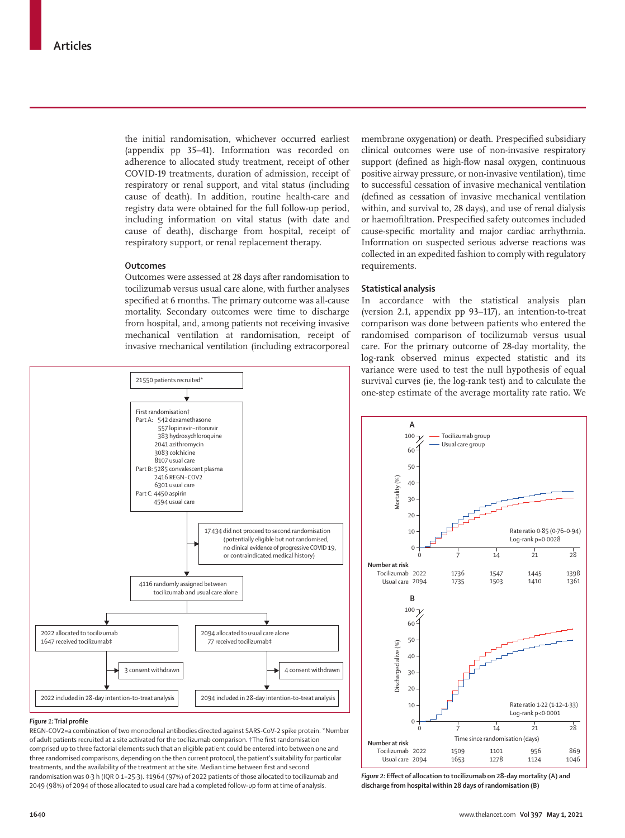the initial randomisation, whichever occurred earliest (appendix pp 35–41). Information was recorded on adherence to allocated study treatment, receipt of other COVID-19 treatments, duration of admission, receipt of respiratory or renal support, and vital status (including cause of death). In addition, routine health-care and registry data were obtained for the full follow-up period, including information on vital status (with date and cause of death), discharge from hospital, receipt of respiratory support, or renal replacement therapy.

## **Outcomes**

Outcomes were assessed at 28 days after randomisation to tocilizumab versus usual care alone, with further analyses specified at 6 months. The primary outcome was all-cause mortality. Secondary outcomes were time to discharge from hospital, and, among patients not receiving invasive mechanical ventilation at randomisation, receipt of invasive mechanical ventilation (including extracorporeal



#### *Figure 1:* **Trial profile**

REGN-COV2=a combination of two monoclonal antibodies directed against SARS-CoV-2 spike protein. \*Number of adult patients recruited at a site activated for the tocilizumab comparison. †The first randomisation comprised up to three factorial elements such that an eligible patient could be entered into between one and three randomised comparisons, depending on the then current protocol, the patient's suitability for particular treatments, and the availability of the treatment at the site. Median time between first and second randomisation was 0·3 h (IQR 0·1−25·3). ‡1964 (97%) of 2022 patients of those allocated to tocilizumab and 2049 (98%) of 2094 of those allocated to usual care had a completed follow-up form at time of analysis.

membrane oxygenation) or death. Prespecified subsidiary clinical outcomes were use of non-invasive respiratory support (defined as high-flow nasal oxygen, continuous positive airway pressure, or non-invasive ventilation), time to successful cessation of invasive mechanical ventilation (defined as cessation of invasive mechanical ventilation within, and survival to, 28 days), and use of renal dialysis or haemofiltration. Prespecified safety outcomes included cause-specific mortality and major cardiac arrhythmia. Information on suspected serious adverse reactions was collected in an expedited fashion to comply with regulatory requirements.

# **Statistical analysis**

In accordance with the statistical analysis plan (version 2.1, appendix pp 93–117), an intention-to-treat comparison was done between patients who entered the randomised comparison of tocilizumab versus usual care. For the primary outcome of 28-day mortality, the log-rank observed minus expected statistic and its variance were used to test the null hypothesis of equal survival curves (ie, the log-rank test) and to calculate the one-step estimate of the average mortality rate ratio. We



*Figure 2:* **Effect of allocation to tocilizumab on 28-day mortality (A) and discharge from hospital within 28 days of randomisation (B)**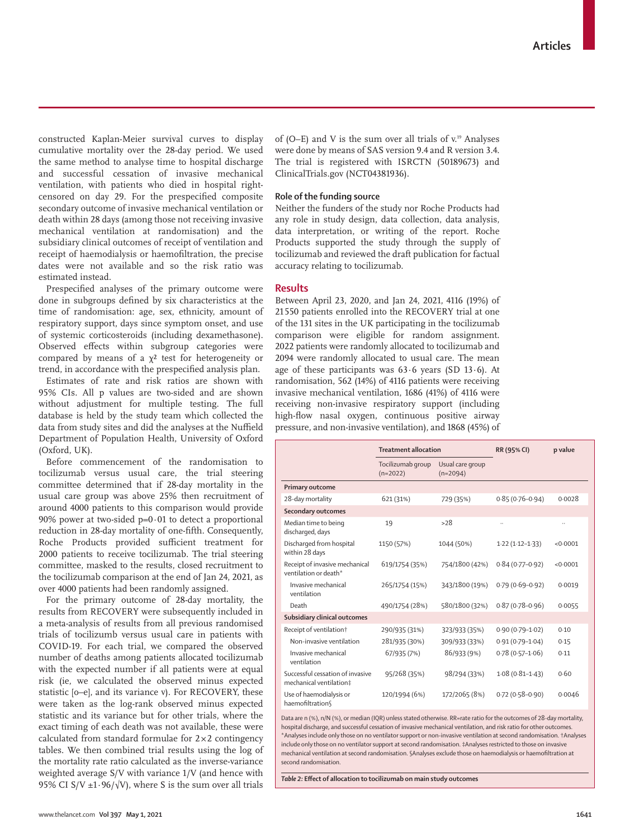constructed Kaplan-Meier survival curves to display cumulative mortality over the 28-day period. We used the same method to analyse time to hospital discharge and successful cessation of invasive mechanical ventilation, with patients who died in hospital rightcensored on day 29. For the prespecified composite secondary outcome of invasive mechanical ventilation or death within 28 days (among those not receiving invasive mechanical ventilation at randomisation) and the subsidiary clinical outcomes of receipt of ventilation and receipt of haemodialysis or haemofiltration, the precise dates were not available and so the risk ratio was estimated instead.

Prespecified analyses of the primary outcome were done in subgroups defined by six characteristics at the time of randomisation: age, sex, ethnicity, amount of respiratory support, days since symptom onset, and use of systemic corticosteroids (including dexamethasone). Observed effects within subgroup categories were compared by means of a  $\chi^2$  test for heterogeneity or trend, in accordance with the prespecified analysis plan.

Estimates of rate and risk ratios are shown with 95% CIs. All p values are two-sided and are shown without adjustment for multiple testing. The full database is held by the study team which collected the data from study sites and did the analyses at the Nuffield Department of Population Health, University of Oxford (Oxford, UK).

Before commencement of the randomisation to tocilizumab versus usual care, the trial steering committee determined that if 28-day mortality in the usual care group was above 25% then recruitment of around 4000 patients to this comparison would provide 90% power at two-sided  $p=0.01$  to detect a proportional reduction in 28-day mortality of one-fifth. Consequently, Roche Products provided sufficient treatment for 2000 patients to receive tocilizumab. The trial steering committee, masked to the results, closed recruitment to the tocilizumab comparison at the end of Jan 24, 2021, as over 4000 patients had been randomly assigned.

For the primary outcome of 28-day mortality, the results from RECOVERY were subsequently included in a meta-analysis of results from all previous randomised trials of tocilizumb versus usual care in patients with COVID-19. For each trial, we compared the observed number of deaths among patients allocated tocilizumab with the expected number if all patients were at equal risk (ie, we calculated the observed minus expected statistic [o–e], and its variance v). For RECOVERY, these were taken as the log-rank observed minus expected statistic and its variance but for other trials, where the exact timing of each death was not available, these were calculated from standard formulae for  $2\times 2$  contingency tables. We then combined trial results using the log of the mortality rate ratio calculated as the inverse-variance weighted average S/V with variance 1/V (and hence with 95% CI S/V  $\pm 1.96/\sqrt{V}$ , where S is the sum over all trials

of (O–E) and V is the sum over all trials of  $v$ .<sup>19</sup> Analyses were done by means of SAS version 9.4 and R version 3.4. The trial is registered with ISRCTN (50189673) and ClinicalTrials.gov (NCT04381936).

# **Role of the funding source**

Neither the funders of the study nor Roche Products had any role in study design, data collection, data analysis, data interpretation, or writing of the report. Roche Products supported the study through the supply of tocilizumab and reviewed the draft publication for factual accuracy relating to tocilizumab.

# **Results**

Between April 23, 2020, and Jan 24, 2021, 4116 (19%) of 21550 patients enrolled into the RECOVERY trial at one of the 131 sites in the UK participating in the tocilizumab comparison were eligible for random assignment. 2022 patients were randomly allocated to tocilizumab and 2094 were randomly allocated to usual care. The mean age of these participants was  $63.6$  years (SD  $13.6$ ). At randomisation, 562 (14%) of 4116 patients were receiving invasive mechanical ventilation, 1686 (41%) of 4116 were receiving non-invasive respiratory support (including high-flow nasal oxygen, continuous positive airway pressure, and non-invasive ventilation), and 1868 (45%) of

|                                                             | <b>Treatment allocation</b>     |                                | RR (95% CI)         | p value  |
|-------------------------------------------------------------|---------------------------------|--------------------------------|---------------------|----------|
|                                                             | Tocilizumab group<br>$(n=2022)$ | Usual care group<br>$(n=2094)$ |                     |          |
| <b>Primary outcome</b>                                      |                                 |                                |                     |          |
| 28-day mortality                                            | 621 (31%)                       | 729 (35%)                      | $0.85(0.76 - 0.94)$ | 0.0028   |
| Secondary outcomes                                          |                                 |                                |                     |          |
| Median time to being<br>discharged, days                    | 19                              | >28                            |                     |          |
| Discharged from hospital<br>within 28 days                  | 1150 (57%)                      | 1044 (50%)                     | $1.22(1.12 - 1.33)$ | < 0.0001 |
| Receipt of invasive mechanical<br>ventilation or death*     | 619/1754 (35%)                  | 754/1800 (42%)                 | $0.84(0.77-0.92)$   | <0.0001  |
| Invasive mechanical<br>ventilation                          | 265/1754 (15%)                  | 343/1800 (19%)                 | $0.79(0.69 - 0.92)$ | 0.0019   |
| Death                                                       | 490/1754 (28%)                  | 580/1800 (32%)                 | $0.87(0.78 - 0.96)$ | 0.0055   |
| Subsidiary clinical outcomes                                |                                 |                                |                     |          |
| Receipt of ventilation <sup>†</sup>                         | 290/935 (31%)                   | 323/933 (35%)                  | $0.90(0.79 - 1.02)$ | 0.10     |
| Non-invasive ventilation                                    | 281/935 (30%)                   | 309/933 (33%)                  | $0.91(0.79 - 1.04)$ | 0.15     |
| Invasive mechanical<br>ventilation                          | 67/935 (7%)                     | 86/933 (9%)                    | $0.78(0.57 - 1.06)$ | 0.11     |
| Successful cessation of invasive<br>mechanical ventilation‡ | 95/268 (35%)                    | 98/294 (33%)                   | $1.08(0.81 - 1.43)$ | 0.60     |
| Use of haemodialysis or<br>haemofiltration                  | 120/1994 (6%)                   | 172/2065 (8%)                  | $0.72(0.58-0.90)$   | 0.0046   |

Data are n (%), n/N (%), or median (IQR) unless stated otherwise. RR=rate ratio for the outcomes of 28-day mortality, hospital discharge, and successful cessation of invasive mechanical ventilation, and risk ratio for other outcomes. \*Analyses include only those on no ventilator support or non-invasive ventilation at second randomisation. †Analyses include only those on no ventilator support at second randomisation. ‡Analyses restricted to those on invasive mechanical ventilation at second randomisation. §Analyses exclude those on haemodialysis or haemofiltration at second randomisation.

*Table 2:* **Effect of allocation to tocilizumab on main study outcomes**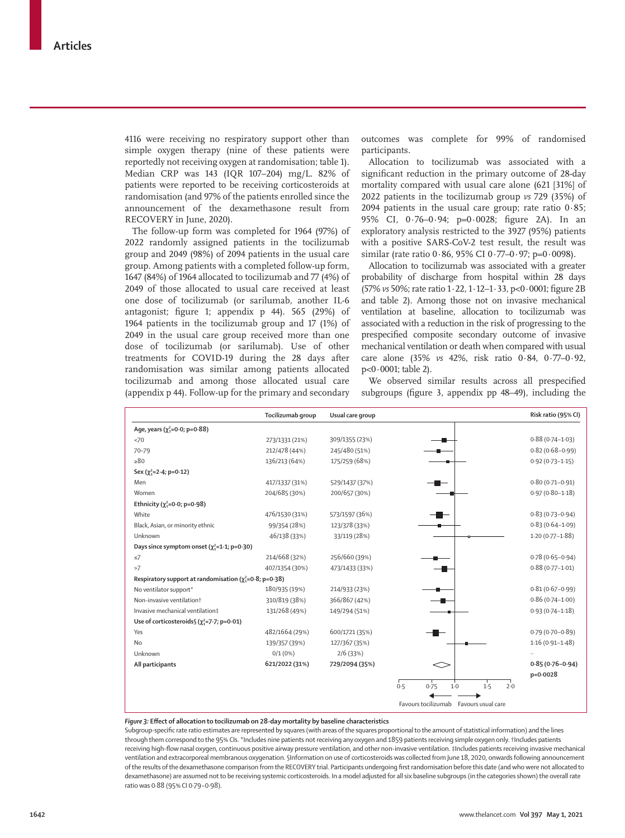4116 were receiving no respiratory support other than simple oxygen therapy (nine of these patients were reportedly not receiving oxygen at randomisation; table 1). Median CRP was 143 (IQR 107–204) mg/L. 82% of patients were reported to be receiving corticosteroids at randomisation (and 97% of the patients enrolled since the announcement of the dexamethasone result from RECOVERY in June, 2020).

The follow-up form was completed for 1964 (97%) of 2022 randomly assigned patients in the tocilizumab group and 2049 (98%) of 2094 patients in the usual care group. Among patients with a completed follow-up form, 1647 (84%) of 1964 allocated to tocilizumab and 77 (4%) of 2049 of those allocated to usual care received at least one dose of tocilizumab (or sarilumab, another IL-6 antagonist; figure 1; appendix p 44). 565 (29%) of 1964 patients in the tocilizumab group and 17 (1%) of 2049 in the usual care group received more than one dose of tocilizumab (or sarilumab). Use of other treatments for COVID-19 during the 28 days after randomisation was similar among patients allocated tocilizumab and among those allocated usual care (appendix p 44). Follow-up for the primary and secondary

outcomes was complete for 99% of randomised participants.

Allocation to tocilizumab was associated with a significant reduction in the primary outcome of 28-day mortality compared with usual care alone (621 [31%] of 2022 patients in the tocilizumab group *vs* 729 (35%) of 2094 patients in the usual care group; rate ratio  $0.85$ ; 95% CI, 0·76–0·94; p=0·0028; figure 2A). In an exploratory analysis restricted to the 3927 (95%) patients with a positive SARS-CoV-2 test result, the result was similar (rate ratio  $0.86$ , 95% CI  $0.77 - 0.97$ ; p= $0.0098$ ).

Allocation to tocilizumab was associated with a greater probability of discharge from hospital within 28 days (57% *vs* 50%; rate ratio 1·22, 1·12–1·33, p<0·0001; figure 2B and table 2). Among those not on invasive mechanical ventilation at baseline, allocation to tocilizumab was associated with a reduction in the risk of progressing to the prespecified composite secondary outcome of invasive mechanical ventilation or death when compared with usual care alone (35% *vs* 42%, risk ratio 0·84, 0·77–0·92, p<0·0001; table 2).

We observed similar results across all prespecified subgroups (figure 3, appendix pp 48–49), including the

|                                                               | Tocilizumab group | Usual care group |                                        | Risk ratio (95% CI) |
|---------------------------------------------------------------|-------------------|------------------|----------------------------------------|---------------------|
| Age, years $(\chi_1^2 = 0.0; p = 0.88)$                       |                   |                  |                                        |                     |
| <70                                                           | 273/1331 (21%)    | 309/1355 (23%)   |                                        | $0.88(0.74 - 1.03)$ |
| $70 - 79$                                                     | 212/478 (44%)     | 245/480 (51%)    |                                        | $0.82(0.68 - 0.99)$ |
| $\geq 80$                                                     | 136/213 (64%)     | 175/259 (68%)    |                                        | $0.92(0.73 - 1.15)$ |
| Sex $(\chi_1^2=2.4; p=0.12)$                                  |                   |                  |                                        |                     |
| Men                                                           | 417/1337 (31%)    | 529/1437 (37%)   |                                        | $0.80(0.71 - 0.91)$ |
| Women                                                         | 204/685 (30%)     | 200/657 (30%)    |                                        | $0.97(0.80 - 1.18)$ |
| Ethnicity ( $\chi^2$ =0.0; p=0.98)                            |                   |                  |                                        |                     |
| White                                                         | 476/1530 (31%)    | 573/1597 (36%)   |                                        | $0.83(0.73 - 0.94)$ |
| Black, Asian, or minority ethnic                              | 99/354 (28%)      | 123/378 (33%)    |                                        | $0.83(0.64 - 1.09)$ |
| Unknown                                                       | 46/138 (33%)      | 33/119 (28%)     |                                        | $1.20(0.77 - 1.88)$ |
| Days since symptom onset $(\chi_1^2=1.1; p=0.30)$             |                   |                  |                                        |                     |
| $\leq$ 7                                                      | 214/668 (32%)     | 256/660 (39%)    |                                        | $0.78(0.65 - 0.94)$ |
| >7                                                            | 407/1354 (30%)    | 473/1433 (33%)   |                                        | $0.88(0.77 - 1.01)$ |
| Respiratory support at randomisation ( $\chi^2$ =0.8; p=0.38) |                   |                  |                                        |                     |
| No ventilator support*                                        | 180/935 (19%)     | 214/933 (23%)    |                                        | $0.81(0.67 - 0.99)$ |
| Non-invasive ventilation+                                     | 310/819 (38%)     | 366/867 (42%)    |                                        | $0.86(0.74 - 1.00)$ |
| Invasive mechanical ventilation#                              | 131/268 (49%)     | 149/294 (51%)    |                                        | $0.93(0.74 - 1.18)$ |
| Use of corticosteroids $(y_3^2=7.7; p=0.01)$                  |                   |                  |                                        |                     |
| Yes                                                           | 482/1664 (29%)    | 600/1721 (35%)   |                                        | $0.79(0.70 - 0.89)$ |
| <b>No</b>                                                     | 139/357 (39%)     | 127/367 (35%)    |                                        | $1.16(0.91 - 1.48)$ |
| Unknown                                                       | 0/1(0%)           | 2/6(33%)         |                                        |                     |
| All participants                                              | 621/2022 (31%)    | 729/2094 (35%)   |                                        | $0.85(0.76 - 0.94)$ |
|                                                               |                   |                  |                                        | p=0.0028            |
|                                                               |                   |                  | 0.5<br>2.0<br>1.5<br>0.75<br>$1-0$     |                     |
|                                                               |                   |                  | Favours tocilizumab Favours usual care |                     |

#### *Figure 3:* **Effect of allocation to tocilizumab on 28-day mortality by baseline characteristics**

Subgroup-specific rate ratio estimates are represented by squares (with areas of the squares proportional to the amount of statistical information) and the lines through them correspond to the 95% CIs. \*Includes nine patients not receiving any oxygen and 1859 patients receiving simple oxygen only. †Includes patients receiving high-flow nasal oxygen, continuous positive airway pressure ventilation, and other non-invasive ventilation. ‡Includes patients receiving invasive mechanical ventilation and extracorporeal membranous oxygenation. §Information on use of corticosteroids was collected from June 18, 2020, onwards following announcement of the results of the dexamethasone comparison from the RECOVERY trial. Participants undergoing first randomisation before this date (and who were not allocated to dexamethasone) are assumed not to be receiving systemic corticosteroids. In a model adjusted for all six baseline subgroups (in the categories shown) the overall rate ratio was 0·88 (95% CI 0·79−0·98).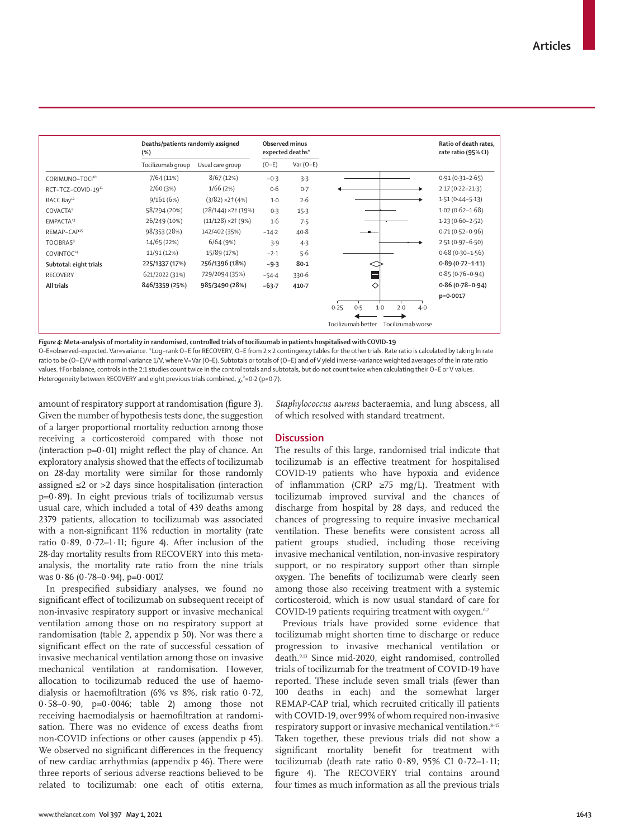|                             | Deaths/patients randomly assigned<br>(%) |                         | <b>Observed minus</b><br>expected deaths* |             |                                         | Ratio of death rates,<br>rate ratio (95% CI) |
|-----------------------------|------------------------------------------|-------------------------|-------------------------------------------|-------------|-----------------------------------------|----------------------------------------------|
|                             | Tocilizumab group                        | Usual care group        | $(O-E)$                                   | Var $(O-E)$ |                                         |                                              |
| CORIMUNO-TOCI <sup>10</sup> | 7/64(11%)                                | 8/67(12%)               | $-0.3$                                    | 3.3         |                                         | $0.91(0.31 - 2.65)$                          |
| RCT-TCZ-COVID-1911          | 2/60(3%)                                 | 1/66(2%)                | 0.6                                       | 0.7         |                                         | $2.17(0.22 - 21.3)$                          |
| BACC Bay <sup>12</sup>      | 9/161(6%)                                | $(3/82)$ ×2† $(4%)$     | $1-0$                                     | 2.6         |                                         | $1.51(0.44 - 5.13)$                          |
| <b>COVACTA</b> <sup>9</sup> | 58/294 (20%)                             | $(28/144)$ × 2† $(19%)$ | 0.3                                       | 15.3        |                                         | $1.02(0.62 - 1.68)$                          |
| EMPACTA <sup>13</sup>       | 26/249 (10%)                             | $(11/128)$ ×2† (9%)     | 1·6                                       | 7.5         |                                         | $1.23(0.60 - 2.52)$                          |
| REMAP-CAP <sup>15</sup>     | 98/353 (28%)                             | 142/402 (35%)           | $-14-2$                                   | 40.8        |                                         | $0.71(0.52 - 0.96)$                          |
| TOCIBRAS <sup>8</sup>       | 14/65 (22%)                              | 6/64(9%)                | 3.9                                       | 4.3         |                                         | $2.51(0.97 - 6.50)$                          |
| COVINTOC <sup>14</sup>      | 11/91 (12%)                              | 15/89 (17%)             | $-2.1$                                    | 5.6         |                                         | $0.68(0.30 - 1.56)$                          |
| Subtotal: eight trials      | 225/1337 (17%)                           | 256/1396 (18%)          | $-9.3$                                    | $80 - 1$    |                                         | $0.89(0.72 - 1.11)$                          |
| <b>RECOVERY</b>             | 621/2022 (31%)                           | 729/2094 (35%)          | $-54.4$                                   | 330.6       |                                         | $0.85(0.76 - 0.94)$                          |
| All trials                  | 846/3359 (25%)                           | 985/3490 (28%)          | $-63.7$                                   | $410 - 7$   | ♦                                       | $0.86(0.78 - 0.94)$                          |
|                             |                                          |                         |                                           |             | 2.0<br>0.25<br>0.5<br>$1-0$<br>$4-0$    | $p=0.0017$                                   |
|                             |                                          |                         |                                           |             | Tocilizumab better<br>Tocilizumab worse |                                              |

*Figure 4:* **Meta-analysis of mortality in randomised, controlled trials of tocilizumab in patients hospitalised with COVID-19** O–E=observed–expected. Var=variance. \*Log−rank O−E for RECOVERY, O−E from 2× 2 contingency tables for the other trials. Rate ratio is calculated by taking ln rate ratio to be (O−E)/V with normal variance 1/V, where V=Var (O–E). Subtotals or totals of (O−E) and of V yield inverse-variance weighted averages of the ln rate ratio values. †For balance, controls in the 2:1 studies count twice in the control totals and subtotals, but do not count twice when calculating their O−E or V values. Heterogeneity between RECOVERY and eight previous trials combined,  $\chi_i^2$ =0 $\cdot$ 2 (p=0 $\cdot$ 7).

amount of respiratory support at randomisation (figure 3). Given the number of hypothesis tests done, the suggestion of a larger proportional mortality reduction among those receiving a corticosteroid compared with those not (interaction  $p=0.01$ ) might reflect the play of chance. An exploratory analysis showed that the effects of tocilizumab on 28-day mortality were similar for those randomly assigned ≤2 or >2 days since hospitalisation (interaction  $p=0.89$ ). In eight previous trials of tocilizumab versus usual care, which included a total of 439 deaths among 2379 patients, allocation to tocilizumab was associated with a non-significant 11% reduction in mortality (rate ratio  $0.89$ ,  $0.72-1.11$ ; figure 4). After inclusion of the 28-day mortality results from RECOVERY into this metaanalysis, the mortality rate ratio from the nine trials was  $0.86$  (0.78–0.94), p= $0.0017$ .

In prespecified subsidiary analyses, we found no significant effect of tocilizumab on subsequent receipt of non-invasive respiratory support or invasive mechanical ventilation among those on no respiratory support at randomisation (table 2, appendix p 50). Nor was there a significant effect on the rate of successful cessation of invasive mechanical ventilation among those on invasive mechanical ventilation at randomisation. However, allocation to tocilizumab reduced the use of haemodialysis or haemofiltration (6% vs 8%, risk ratio 0·72, 0·58–0·90, p=0·0046; table 2) among those not receiving haemodialysis or haemofiltration at randomisation. There was no evidence of excess deaths from non-COVID infections or other causes (appendix p 45). We observed no significant differences in the frequency of new cardiac arrhythmias (appendix p 46). There were three reports of serious adverse reactions believed to be related to tocilizumab: one each of otitis externa, *Staphylococcus aureus* bacteraemia, and lung abscess, all of which resolved with standard treatment.

# **Discussion**

The results of this large, randomised trial indicate that tocilizumab is an effective treatment for hospitalised COVID-19 patients who have hypoxia and evidence of inflammation (CRP  $\geq$ 75 mg/L). Treatment with tocilizumab improved survival and the chances of discharge from hospital by 28 days, and reduced the chances of progressing to require invasive mechanical ventilation. These benefits were consistent across all patient groups studied, including those receiving invasive mechanical ventilation, non-invasive respiratory support, or no respiratory support other than simple oxygen. The benefits of tocilizumab were clearly seen among those also receiving treatment with a systemic corticosteroid, which is now usual standard of care for COVID-19 patients requiring treatment with oxygen.<sup>6,7</sup>

Previous trials have provided some evidence that tocilizumab might shorten time to discharge or reduce progression to invasive mechanical ventilation or death.9,13 Since mid-2020, eight randomised, controlled trials of tocilizumab for the treatment of COVID-19 have reported. These include seven small trials (fewer than 100 deaths in each) and the somewhat larger REMAP-CAP trial, which recruited critically ill patients with COVID-19, over 99% of whom required non-invasive respiratory support or invasive mechanical ventilation.<sup>8-15</sup> Taken together, these previous trials did not show a significant mortality benefit for treatment with tocilizumab (death rate ratio 0·89, 95% CI 0·72–1·11; figure 4). The RECOVERY trial contains around four times as much information as all the previous trials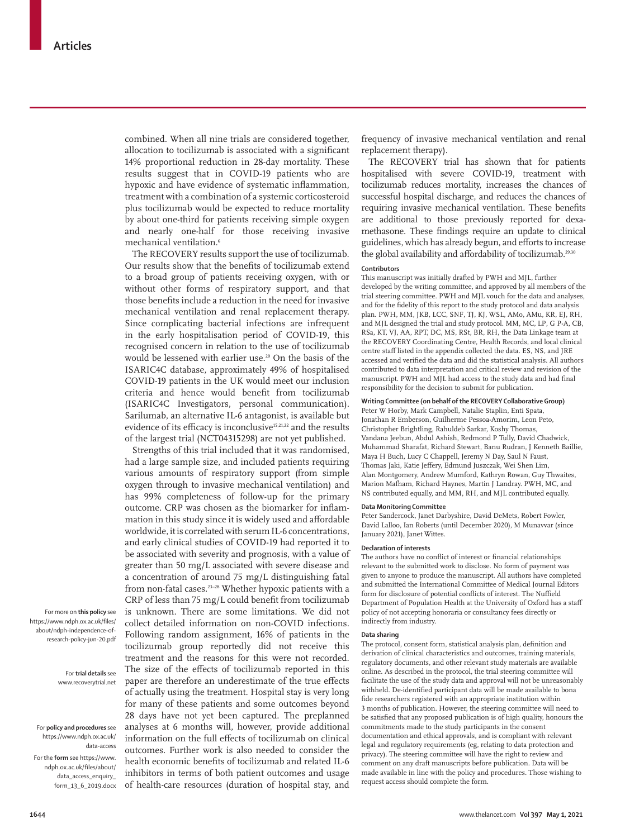combined. When all nine trials are considered together, allocation to tocilizumab is associated with a significant 14% proportional reduction in 28-day mortality. These results suggest that in COVID-19 patients who are hypoxic and have evidence of systematic inflammation, treatment with a combination of a systemic corticosteroid plus tocilizumab would be expected to reduce mortality by about one-third for patients receiving simple oxygen and nearly one-half for those receiving invasive mechanical ventilation.<sup>6</sup>

The RECOVERY results support the use of tocilizumab. Our results show that the benefits of tocilizumab extend to a broad group of patients receiving oxygen, with or without other forms of respiratory support, and that those benefits include a reduction in the need for invasive mechanical ventilation and renal replacement therapy. Since complicating bacterial infections are infrequent in the early hospitalisation period of COVID-19, this recognised concern in relation to the use of tocilizumab would be lessened with earlier use.<sup>20</sup> On the basis of the ISARIC4C database, approximately 49% of hospitalised COVID-19 patients in the UK would meet our inclusion criteria and hence would benefit from tocilizumab (ISARIC4C Investigators, personal communication). Sarilumab, an alternative IL-6 antagonist, is available but evidence of its efficacy is inconclusive<sup>15,21,22</sup> and the results of the largest trial (NCT04315298) are not yet published.

Strengths of this trial included that it was randomised, had a large sample size, and included patients requiring various amounts of respiratory support (from simple oxygen through to invasive mechanical ventilation) and has 99% completeness of follow-up for the primary outcome. CRP was chosen as the biomarker for inflammation in this study since it is widely used and affordable worldwide, it is correlated with serum IL-6 concentrations, and early clinical studies of COVID-19 had reported it to be associated with severity and prognosis, with a value of greater than 50 mg/L associated with severe disease and a concentration of around 75 mg/L distinguishing fatal from non-fatal cases.23–28 Whether hypoxic patients with a CRP of less than 75 mg/L could benefit from tocilizumab is unknown. There are some limitations. We did not collect detailed information on non-COVID infections. Following random assignment, 16% of patients in the tocilizumab group reportedly did not receive this treatment and the reasons for this were not recorded. The size of the effects of tocilizumab reported in this paper are therefore an underestimate of the true effects of actually using the treatment. Hospital stay is very long for many of these patients and some outcomes beyond 28 days have not yet been captured. The preplanned analyses at 6 months will, however, provide additional information on the full effects of tocilizumab on clinical outcomes. Further work is also needed to consider the health economic benefits of tocilizumab and related IL-6 inhibitors in terms of both patient outcomes and usage of health-care resources (duration of hospital stay, and

frequency of invasive mechanical ventilation and renal replacement therapy).

The RECOVERY trial has shown that for patients hospitalised with severe COVID-19, treatment with tocilizumab reduces mortality, increases the chances of successful hospital discharge, and reduces the chances of requiring invasive mechanical ventilation. These benefits are additional to those previously reported for dexamethasone. These findings require an update to clinical guidelines, which has already begun, and efforts to increase the global availability and affordability of tocilizumab.<sup>29,30</sup>

## **Contributors**

This manuscript was initially drafted by PWH and MJL, further developed by the writing committee, and approved by all members of the trial steering committee. PWH and MJL vouch for the data and analyses, and for the fidelity of this report to the study protocol and data analysis plan. PWH, MM, JKB, LCC, SNF, TJ, KJ, WSL, AMo, AMu, KR, EJ, RH, and MJL designed the trial and study protocol. MM, MC, LP, G P-A, CB, RSa, KT, VJ, AA, RPT, DC, MS, RSt, BR, RH, the Data Linkage team at the RECOVERY Coordinating Centre, Health Records, and local clinical centre staff listed in the appendix collected the data. ES, NS, and JRE accessed and verified the data and did the statistical analysis. All authors contributed to data interpretation and critical review and revision of the manuscript. PWH and MJL had access to the study data and had final responsibility for the decision to submit for publication.

# **Writing Committee (on behalf of the RECOVERY Collaborative Group)**

Peter W Horby, Mark Campbell, Natalie Staplin, Enti Spata, Jonathan R Emberson, Guilherme Pessoa-Amorim, Leon Peto, Christopher Brightling, Rahuldeb Sarkar, Koshy Thomas, Vandana Jeebun, Abdul Ashish, Redmond P Tully, David Chadwick, Muhammad Sharafat, Richard Stewart, Banu Rudran, J Kenneth Baillie, Maya H Buch, Lucy C Chappell, Jeremy N Day, Saul N Faust, Thomas Jaki, Katie Jeffery, Edmund Juszczak, Wei Shen Lim, Alan Montgomery, Andrew Mumford, Kathryn Rowan, Guy Thwaites, Marion Mafham, Richard Haynes, Martin J Landray. PWH, MC, and NS contributed equally, and MM, RH, and MJL contributed equally.

## **Data Monitoring Committee**

Peter Sandercock, Janet Darbyshire, David DeMets, Robert Fowler, David Lalloo, Ian Roberts (until December 2020), M Munavvar (since January 2021), Janet Wittes.

## **Declaration of interests**

The authors have no conflict of interest or financial relationships relevant to the submitted work to disclose. No form of payment was given to anyone to produce the manuscript. All authors have completed and submitted the International Committee of Medical Journal Editors form for disclosure of potential conflicts of interest. The Nuffield Department of Population Health at the University of Oxford has a staff [policy](https://www.ndph.ox.ac.uk/files/about/ndph-independence-of-research-policy-jun-20.pdf) of not accepting honoraria or consultancy fees directly or indirectly from industry.

## **Data sharing**

The protocol, consent form, statistical analysis plan, definition and derivation of clinical characteristics and outcomes, training materials, regulatory documents, and other relevant study materials are available [online](http://www.recoverytrial.net). As described in the protocol, the trial steering committee will facilitate the use of the study data and approval will not be unreasonably withheld. De-identified participant data will be made available to bona fide researchers registered with an appropriate institution within 3 months of publication. However, the steering committee will need to be satisfied that any proposed publication is of high quality, honours the commitments made to the study participants in the consent documentation and ethical approvals, and is compliant with relevant legal and regulatory requirements (eg, relating to data protection and privacy). The steering committee will have the right to review and comment on any draft manuscripts before publication. Data will be made available in line with the policy and procedures. Those wishing to request access should complete the [form](https://www.ndph.ox.ac.uk/files/about/data_access_enquiry_form_13_6_2019.docx).

For more on **this policy** see [https://www.ndph.ox.ac.uk/files/](https://www.ndph.ox.ac.uk/files/about/ndph-independence-of-research-policy-jun-20.pdf) [about/ndph-independence-of](https://www.ndph.ox.ac.uk/files/about/ndph-independence-of-research-policy-jun-20.pdf)[research-policy-jun-20.pdf](https://www.ndph.ox.ac.uk/files/about/ndph-independence-of-research-policy-jun-20.pdf)

> For **trial details** see [www.recoverytrial.net](http://www.recoverytrial.net)

For **policy and procedures** see https://www.ndph.ox.ac.uk/ data-access For the **form** see [https://www.](https://www.ndph.ox.ac.uk/files/about/data_access_enquiry_form_13_6_2019.docx) [ndph.ox.ac.uk/files/about/](https://www.ndph.ox.ac.uk/files/about/data_access_enquiry_form_13_6_2019.docx) data access enquiry [form\\_13\\_6\\_2019.docx](https://www.ndph.ox.ac.uk/files/about/data_access_enquiry_form_13_6_2019.docx)